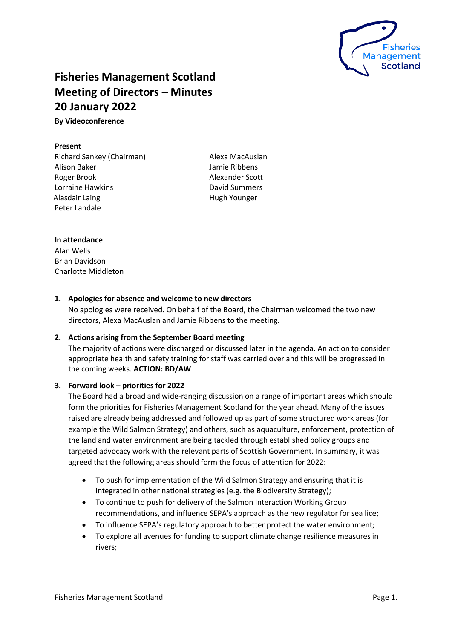

# **Fisheries Management Scotland Meeting of Directors – Minutes 20 January 2022**

**By Videoconference** 

## **Present**

Richard Sankey (Chairman) Alison Baker Roger Brook Lorraine Hawkins Alasdair Laing Peter Landale

Alexa MacAuslan Jamie Ribbens Alexander Scott David Summers Hugh Younger

# **In attendance**

Alan Wells Brian Davidson Charlotte Middleton

# **1. Apologies for absence and welcome to new directors**

No apologies were received. On behalf of the Board, the Chairman welcomed the two new directors, Alexa MacAuslan and Jamie Ribbens to the meeting.

## **2. Actions arising from the September Board meeting**

The majority of actions were discharged or discussed later in the agenda. An action to consider appropriate health and safety training for staff was carried over and this will be progressed in the coming weeks. **ACTION: BD/AW**

# **3. Forward look – priorities for 2022**

The Board had a broad and wide-ranging discussion on a range of important areas which should form the priorities for Fisheries Management Scotland for the year ahead. Many of the issues raised are already being addressed and followed up as part of some structured work areas (for example the Wild Salmon Strategy) and others, such as aquaculture, enforcement, protection of the land and water environment are being tackled through established policy groups and targeted advocacy work with the relevant parts of Scottish Government. In summary, it was agreed that the following areas should form the focus of attention for 2022:

- To push for implementation of the Wild Salmon Strategy and ensuring that it is integrated in other national strategies (e.g. the Biodiversity Strategy);
- To continue to push for delivery of the Salmon Interaction Working Group recommendations, and influence SEPA's approach as the new regulator for sea lice;
- To influence SEPA's regulatory approach to better protect the water environment;
- To explore all avenues for funding to support climate change resilience measures in rivers;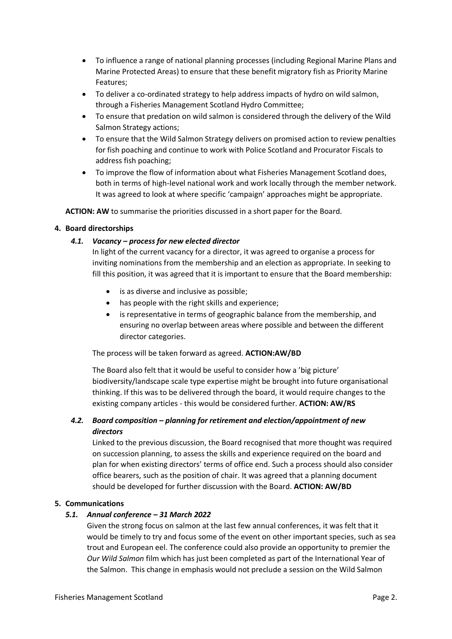- To influence a range of national planning processes (including Regional Marine Plans and Marine Protected Areas) to ensure that these benefit migratory fish as Priority Marine Features;
- To deliver a co-ordinated strategy to help address impacts of hydro on wild salmon, through a Fisheries Management Scotland Hydro Committee;
- To ensure that predation on wild salmon is considered through the delivery of the Wild Salmon Strategy actions;
- To ensure that the Wild Salmon Strategy delivers on promised action to review penalties for fish poaching and continue to work with Police Scotland and Procurator Fiscals to address fish poaching;
- To improve the flow of information about what Fisheries Management Scotland does, both in terms of high-level national work and work locally through the member network. It was agreed to look at where specific 'campaign' approaches might be appropriate.

**ACTION: AW** to summarise the priorities discussed in a short paper for the Board.

# **4. Board directorships**

# *4.1. Vacancy – process for new elected director*

In light of the current vacancy for a director, it was agreed to organise a process for inviting nominations from the membership and an election as appropriate. In seeking to fill this position, it was agreed that it is important to ensure that the Board membership:

- is as diverse and inclusive as possible;
- has people with the right skills and experience;
- is representative in terms of geographic balance from the membership, and ensuring no overlap between areas where possible and between the different director categories.

## The process will be taken forward as agreed. **ACTION:AW/BD**

The Board also felt that it would be useful to consider how a 'big picture' biodiversity/landscape scale type expertise might be brought into future organisational thinking. If this was to be delivered through the board, it would require changes to the existing company articles - this would be considered further. **ACTION: AW/RS**

# *4.2. Board composition – planning for retirement and election/appointment of new directors*

Linked to the previous discussion, the Board recognised that more thought was required on succession planning, to assess the skills and experience required on the board and plan for when existing directors' terms of office end. Such a process should also consider office bearers, such as the position of chair. It was agreed that a planning document should be developed for further discussion with the Board. **ACTION: AW/BD**

# **5. Communications**

## *5.1. Annual conference – 31 March 2022*

Given the strong focus on salmon at the last few annual conferences, it was felt that it would be timely to try and focus some of the event on other important species, such as sea trout and European eel. The conference could also provide an opportunity to premier the *Our Wild Salmon* film which has just been completed as part of the International Year of the Salmon. This change in emphasis would not preclude a session on the Wild Salmon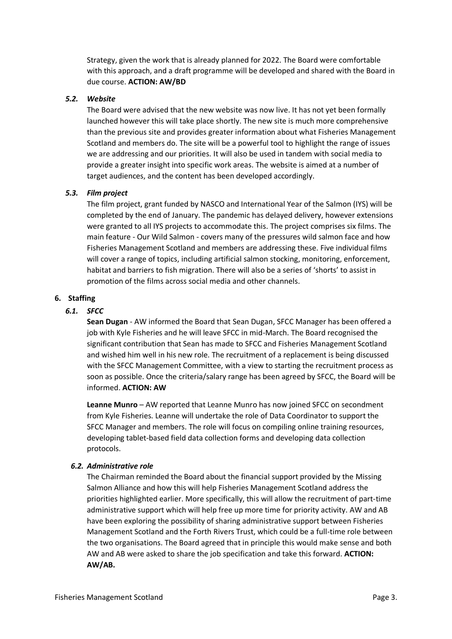Strategy, given the work that is already planned for 2022. The Board were comfortable with this approach, and a draft programme will be developed and shared with the Board in due course. **ACTION: AW/BD**

## *5.2. Website*

The Board were advised that the new website was now live. It has not yet been formally launched however this will take place shortly. The new site is much more comprehensive than the previous site and provides greater information about what Fisheries Management Scotland and members do. The site will be a powerful tool to highlight the range of issues we are addressing and our priorities. It will also be used in tandem with social media to provide a greater insight into specific work areas. The website is aimed at a number of target audiences, and the content has been developed accordingly.

# *5.3. Film project*

The film project, grant funded by NASCO and International Year of the Salmon (IYS) will be completed by the end of January. The pandemic has delayed delivery, however extensions were granted to all IYS projects to accommodate this. The project comprises six films. The main feature - Our Wild Salmon - covers many of the pressures wild salmon face and how Fisheries Management Scotland and members are addressing these. Five individual films will cover a range of topics, including artificial salmon stocking, monitoring, enforcement, habitat and barriers to fish migration. There will also be a series of 'shorts' to assist in promotion of the films across social media and other channels.

# **6. Staffing**

# *6.1. SFCC*

**Sean Dugan** - AW informed the Board that Sean Dugan, SFCC Manager has been offered a job with Kyle Fisheries and he will leave SFCC in mid-March. The Board recognised the significant contribution that Sean has made to SFCC and Fisheries Management Scotland and wished him well in his new role. The recruitment of a replacement is being discussed with the SFCC Management Committee, with a view to starting the recruitment process as soon as possible. Once the criteria/salary range has been agreed by SFCC, the Board will be informed. **ACTION: AW**

**Leanne Munro** – AW reported that Leanne Munro has now joined SFCC on secondment from Kyle Fisheries. Leanne will undertake the role of Data Coordinator to support the SFCC Manager and members. The role will focus on compiling online training resources, developing tablet-based field data collection forms and developing data collection protocols.

## *6.2. Administrative role*

The Chairman reminded the Board about the financial support provided by the Missing Salmon Alliance and how this will help Fisheries Management Scotland address the priorities highlighted earlier. More specifically, this will allow the recruitment of part-time administrative support which will help free up more time for priority activity. AW and AB have been exploring the possibility of sharing administrative support between Fisheries Management Scotland and the Forth Rivers Trust, which could be a full-time role between the two organisations. The Board agreed that in principle this would make sense and both AW and AB were asked to share the job specification and take this forward. **ACTION: AW/AB.**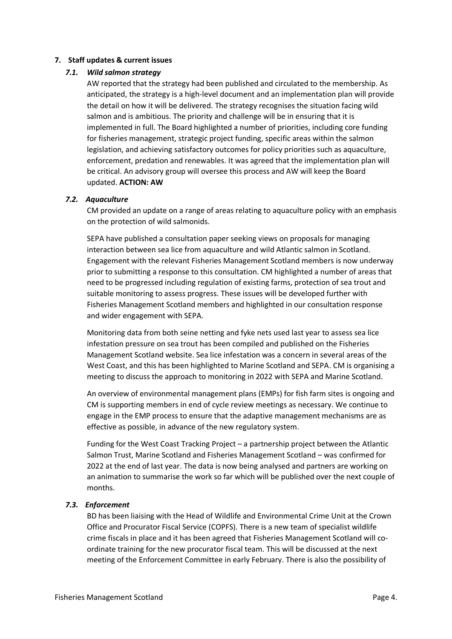## **7. Staff updates & current issues**

## *7.1. Wild salmon strategy*

AW reported that the strategy had been published and circulated to the membership. As anticipated, the strategy is a high-level document and an implementation plan will provide the detail on how it will be delivered. The strategy recognises the situation facing wild salmon and is ambitious. The priority and challenge will be in ensuring that it is implemented in full. The Board highlighted a number of priorities, including core funding for fisheries management, strategic project funding, specific areas within the salmon legislation, and achieving satisfactory outcomes for policy priorities such as aquaculture, enforcement, predation and renewables. It was agreed that the implementation plan will be critical. An advisory group will oversee this process and AW will keep the Board updated. **ACTION: AW**

# *7.2. Aquaculture*

CM provided an update on a range of areas relating to aquaculture policy with an emphasis on the protection of wild salmonids.

SEPA have published a consultation paper seeking views on proposals for managing interaction between sea lice from aquaculture and wild Atlantic salmon in Scotland. Engagement with the relevant Fisheries Management Scotland members is now underway prior to submitting a response to this consultation. CM highlighted a number of areas that need to be progressed including regulation of existing farms, protection of sea trout and suitable monitoring to assess progress. These issues will be developed further with Fisheries Management Scotland members and highlighted in our consultation response and wider engagement with SEPA.

Monitoring data from both seine netting and fyke nets used last year to assess sea lice infestation pressure on sea trout has been compiled and published on the Fisheries Management Scotland website. Sea lice infestation was a concern in several areas of the West Coast, and this has been highlighted to Marine Scotland and SEPA. CM is organising a meeting to discuss the approach to monitoring in 2022 with SEPA and Marine Scotland.

An overview of environmental management plans (EMPs) for fish farm sites is ongoing and CM is supporting members in end of cycle review meetings as necessary. We continue to engage in the EMP process to ensure that the adaptive management mechanisms are as effective as possible, in advance of the new regulatory system.

Funding for the West Coast Tracking Project – a partnership project between the Atlantic Salmon Trust, Marine Scotland and Fisheries Management Scotland – was confirmed for 2022 at the end of last year. The data is now being analysed and partners are working on an animation to summarise the work so far which will be published over the next couple of months.

# *7.3. Enforcement*

BD has been liaising with the Head of Wildlife and Environmental Crime Unit at the Crown Office and Procurator Fiscal Service (COPFS). There is a new team of specialist wildlife crime fiscals in place and it has been agreed that Fisheries Management Scotland will coordinate training for the new procurator fiscal team. This will be discussed at the next meeting of the Enforcement Committee in early February. There is also the possibility of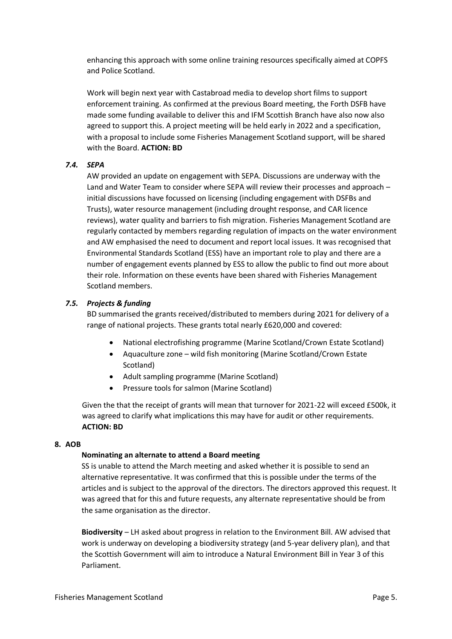enhancing this approach with some online training resources specifically aimed at COPFS and Police Scotland.

Work will begin next year with Castabroad media to develop short films to support enforcement training. As confirmed at the previous Board meeting, the Forth DSFB have made some funding available to deliver this and IFM Scottish Branch have also now also agreed to support this. A project meeting will be held early in 2022 and a specification, with a proposal to include some Fisheries Management Scotland support, will be shared with the Board. **ACTION: BD**

# *7.4. SEPA*

AW provided an update on engagement with SEPA. Discussions are underway with the Land and Water Team to consider where SEPA will review their processes and approach – initial discussions have focussed on licensing (including engagement with DSFBs and Trusts), water resource management (including drought response, and CAR licence reviews), water quality and barriers to fish migration. Fisheries Management Scotland are regularly contacted by members regarding regulation of impacts on the water environment and AW emphasised the need to document and report local issues. It was recognised that Environmental Standards Scotland (ESS) have an important role to play and there are a number of engagement events planned by ESS to allow the public to find out more about their role. Information on these events have been shared with Fisheries Management Scotland members.

## *7.5. Projects & funding*

BD summarised the grants received/distributed to members during 2021 for delivery of a range of national projects. These grants total nearly £620,000 and covered:

- National electrofishing programme (Marine Scotland/Crown Estate Scotland)
- Aquaculture zone wild fish monitoring (Marine Scotland/Crown Estate Scotland)
- Adult sampling programme (Marine Scotland)
- Pressure tools for salmon (Marine Scotland)

Given the that the receipt of grants will mean that turnover for 2021-22 will exceed £500k, it was agreed to clarify what implications this may have for audit or other requirements. **ACTION: BD**

## **8. AOB**

## **Nominating an alternate to attend a Board meeting**

SS is unable to attend the March meeting and asked whether it is possible to send an alternative representative. It was confirmed that this is possible under the terms of the articles and is subject to the approval of the directors. The directors approved this request. It was agreed that for this and future requests, any alternate representative should be from the same organisation as the director.

**Biodiversity** – LH asked about progress in relation to the Environment Bill. AW advised that work is underway on developing a biodiversity strategy (and 5-year delivery plan), and that the Scottish Government will aim to introduce a Natural Environment Bill in Year 3 of this Parliament.